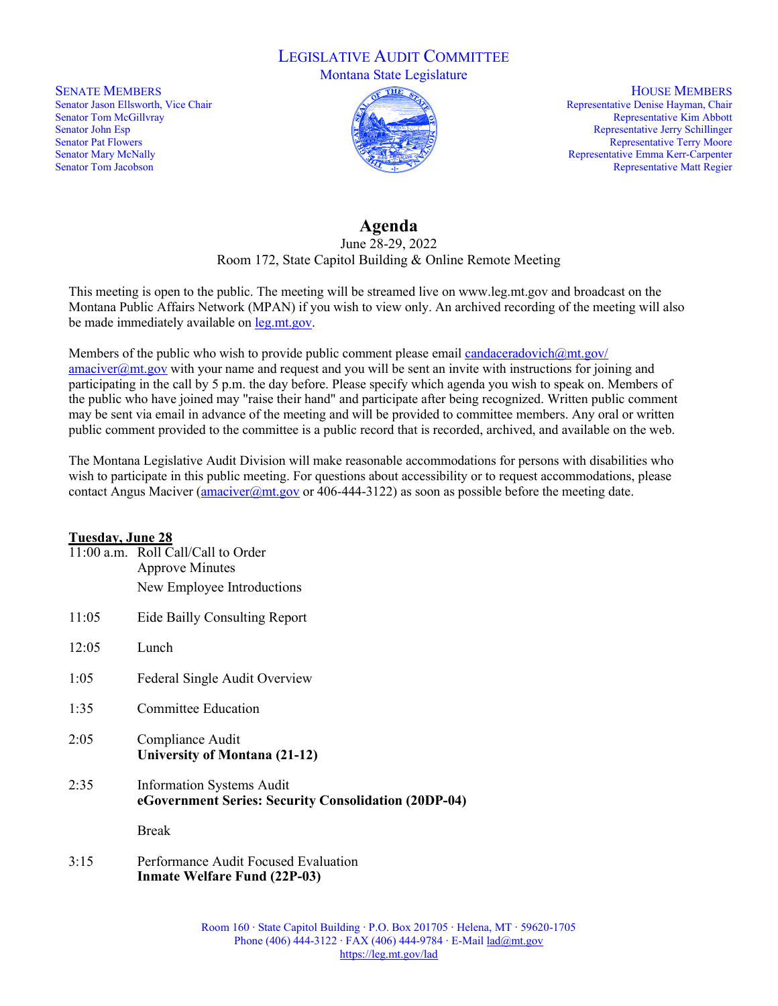## LEGISLATIVE AUDIT COMMITTEE

Montana State Legislature

SENATE MEMBERS Senator Jason Ellsworth, Vice Chair Senator Tom McGillvray Senator John Esp Senator Pat Flowers Senator Mary McNally Senator Tom Jacobson



HOUSE MEMBERS Representative Denise Hayman, Chair Representative Kim Abbott Representative Jerry Schillinger Representative Terry Moore Representative Emma Kerr-Carpenter Representative Matt Regier

## **Agenda**

## June 28-29, 2022 Room 172, State Capitol Building & Online Remote Meeting

This meeting is open to the public. The meeting will be streamed live on www.leg.mt.gov and broadcast on the Montana Public Affairs Network (MPAN) if you wish to view only. An archived recording of the meeting will also be made immediately available o[n leg.mt.gov.](https://leg.mt.gov/)

Members of the public who wish to provide public comment please email candaceradovich $@$ mt.gov/ amaciver@mt.gov with your name and request and you will be sent an invite with instructions for joining and participating in the call by 5 p.m. the day before. Please specify which agenda you wish to speak on. Members of the public who have joined may "raise their hand" and participate after being recognized. Written public comment may be sent via email in advance of the meeting and will be provided to committee members. Any oral or written public comment provided to the committee is a public record that is recorded, archived, and available on the web.

The Montana Legislative Audit Division will make reasonable accommodations for persons with disabilities who wish to participate in this public meeting. For questions about accessibility or to request accommodations, please contact Angus Maciver (amaciver  $\omega$ mt.gov or 406-444-3122) as soon as possible before the meeting date.

## **Tuesday, June 28**

|       | 11:00 a.m. Roll Call/Call to Order<br><b>Approve Minutes</b>                             |
|-------|------------------------------------------------------------------------------------------|
|       | New Employee Introductions                                                               |
| 11:05 | Eide Bailly Consulting Report                                                            |
| 12:05 | Lunch                                                                                    |
| 1:05  | Federal Single Audit Overview                                                            |
| 1:35  | <b>Committee Education</b>                                                               |
| 2:05  | Compliance Audit<br>University of Montana (21-12)                                        |
| 2:35  | <b>Information Systems Audit</b><br>eGovernment Series: Security Consolidation (20DP-04) |
|       | <b>Break</b>                                                                             |
| 3:15  | Performance Audit Focused Evaluation<br><b>Inmate Welfare Fund (22P-03)</b>              |